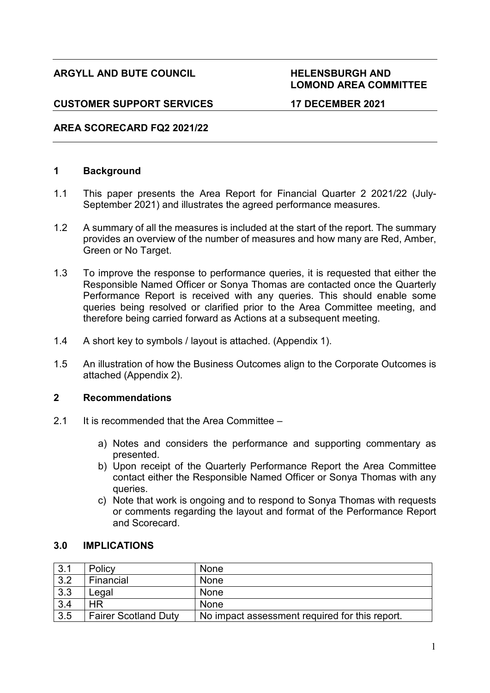# **ARGYLL AND BUTE COUNCIL HELENSBURGH AND**

# **LOMOND AREA COMMITTEE**

# **CUSTOMER SUPPORT SERVICES 17 DECEMBER 2021**

# **AREA SCORECARD FQ2 2021/22**

# **1 Background**

- 1.1 This paper presents the Area Report for Financial Quarter 2 2021/22 (July-September 2021) and illustrates the agreed performance measures.
- 1.2 A summary of all the measures is included at the start of the report. The summary provides an overview of the number of measures and how many are Red, Amber, Green or No Target.
- 1.3 To improve the response to performance queries, it is requested that either the Responsible Named Officer or Sonya Thomas are contacted once the Quarterly Performance Report is received with any queries. This should enable some queries being resolved or clarified prior to the Area Committee meeting, and therefore being carried forward as Actions at a subsequent meeting.
- 1.4 A short key to symbols / layout is attached. (Appendix 1).
- 1.5 An illustration of how the Business Outcomes align to the Corporate Outcomes is attached (Appendix 2).

## **2 Recommendations**

- 2.1 It is recommended that the Area Committee
	- a) Notes and considers the performance and supporting commentary as presented.
	- b) Upon receipt of the Quarterly Performance Report the Area Committee contact either the Responsible Named Officer or Sonya Thomas with any queries.
	- c) Note that work is ongoing and to respond to Sonya Thomas with requests or comments regarding the layout and format of the Performance Report and Scorecard.

| 3.1 | Policy                      | <b>None</b>                                    |
|-----|-----------------------------|------------------------------------------------|
| 3.2 | Financial                   | <b>None</b>                                    |
| 3.3 | Legal                       | None                                           |
| 3.4 | ΗR                          | None                                           |
| 3.5 | <b>Fairer Scotland Duty</b> | No impact assessment required for this report. |

### **3.0 IMPLICATIONS**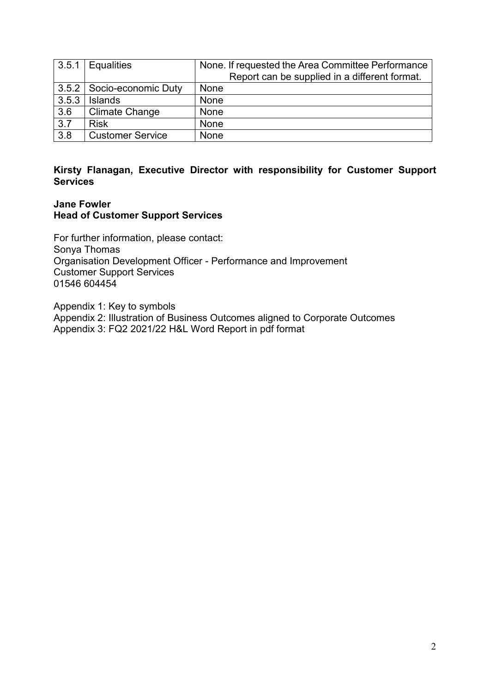| 3.5.1 | Equalities                  | None. If requested the Area Committee Performance |
|-------|-----------------------------|---------------------------------------------------|
|       |                             | Report can be supplied in a different format.     |
|       | 3.5.2   Socio-economic Duty | None                                              |
| 3.5.3 | <b>Islands</b>              | None                                              |
| 3.6   | <b>Climate Change</b>       | None                                              |
| 3.7   | <b>Risk</b>                 | None                                              |
| 3.8   | <b>Customer Service</b>     | None                                              |

# **Kirsty Flanagan, Executive Director with responsibility for Customer Support Services**

# **Jane Fowler Head of Customer Support Services**

For further information, please contact: Sonya Thomas Organisation Development Officer - Performance and Improvement Customer Support Services 01546 604454

Appendix 1: Key to symbols Appendix 2: Illustration of Business Outcomes aligned to Corporate Outcomes Appendix 3: FQ2 2021/22 H&L Word Report in pdf format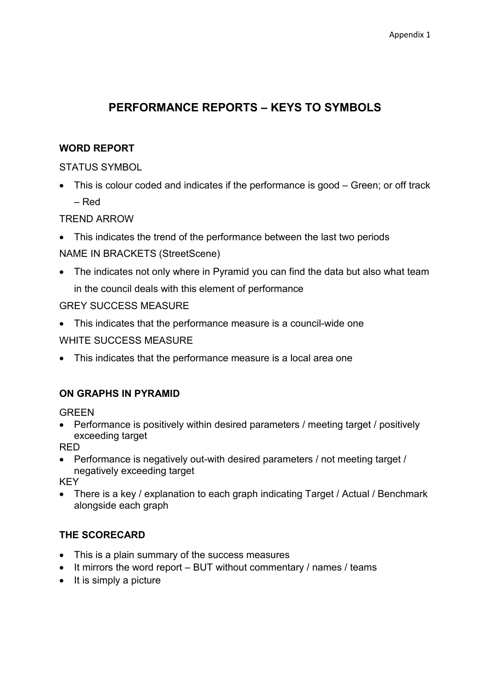# **PERFORMANCE REPORTS – KEYS TO SYMBOLS**

# **WORD REPORT**

STATUS SYMBOL

• This is colour coded and indicates if the performance is good – Green; or off track – Red

TREND ARROW

• This indicates the trend of the performance between the last two periods

NAME IN BRACKETS (StreetScene)

• The indicates not only where in Pyramid you can find the data but also what team in the council deals with this element of performance

GREY SUCCESS MEASURE

- This indicates that the performance measure is a council-wide one WHITE SUCCESS MEASURE
- This indicates that the performance measure is a local area one

# **ON GRAPHS IN PYRAMID**

**GREEN** 

• Performance is positively within desired parameters / meeting target / positively exceeding target

RED

• Performance is negatively out-with desired parameters / not meeting target / negatively exceeding target

KEY

• There is a key / explanation to each graph indicating Target / Actual / Benchmark alongside each graph

# **THE SCORECARD**

- This is a plain summary of the success measures
- It mirrors the word report BUT without commentary / names / teams
- It is simply a picture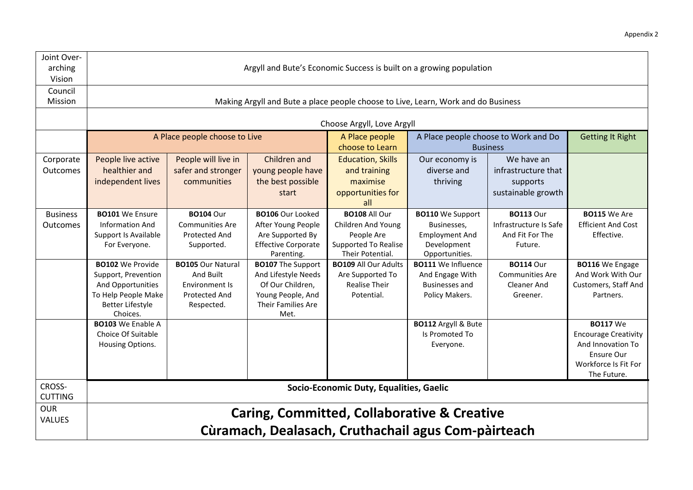| Joint Over-<br>arching<br>Vision | Argyll and Bute's Economic Success is built on a growing population                                                               |                                                                                        |                                                                                                                        |                                                                                                               |                                                                                                  |                                                                              |                                                                                                                          |  |  |  |  |  |  |  |  |
|----------------------------------|-----------------------------------------------------------------------------------------------------------------------------------|----------------------------------------------------------------------------------------|------------------------------------------------------------------------------------------------------------------------|---------------------------------------------------------------------------------------------------------------|--------------------------------------------------------------------------------------------------|------------------------------------------------------------------------------|--------------------------------------------------------------------------------------------------------------------------|--|--|--|--|--|--|--|--|
| Council<br>Mission               | Making Argyll and Bute a place people choose to Live, Learn, Work and do Business                                                 |                                                                                        |                                                                                                                        |                                                                                                               |                                                                                                  |                                                                              |                                                                                                                          |  |  |  |  |  |  |  |  |
|                                  |                                                                                                                                   |                                                                                        |                                                                                                                        | Choose Argyll, Love Argyll                                                                                    |                                                                                                  |                                                                              |                                                                                                                          |  |  |  |  |  |  |  |  |
|                                  |                                                                                                                                   | A Place people choose to Live                                                          |                                                                                                                        | A Place people<br>choose to Learn                                                                             |                                                                                                  | A Place people choose to Work and Do<br><b>Business</b>                      | <b>Getting It Right</b>                                                                                                  |  |  |  |  |  |  |  |  |
| Corporate<br><b>Outcomes</b>     | People live active<br>healthier and<br>independent lives                                                                          | People will live in<br>safer and stronger<br>communities                               | Children and<br>young people have<br>the best possible<br>start                                                        | <b>Education, Skills</b><br>and training<br>maximise<br>opportunities for<br>all                              | Our economy is<br>diverse and<br>thriving                                                        | We have an<br>infrastructure that<br>supports<br>sustainable growth          |                                                                                                                          |  |  |  |  |  |  |  |  |
| <b>Business</b><br>Outcomes      | <b>BO101</b> We Ensure<br><b>Information And</b><br>Support Is Available<br>For Everyone.                                         | <b>BO104 Our</b><br><b>Communities Are</b><br>Protected And<br>Supported.              | <b>BO106</b> Our Looked<br>After Young People<br>Are Supported By<br><b>Effective Corporate</b><br>Parenting.          | <b>BO108 All Our</b><br>Children And Young<br>People Are<br><b>Supported To Realise</b><br>Their Potential.   | <b>BO110</b> We Support<br>Businesses,<br><b>Employment And</b><br>Development<br>Opportunities. | <b>BO113 Our</b><br>Infrastructure Is Safe<br>And Fit For The<br>Future.     | <b>BO115</b> We Are<br><b>Efficient And Cost</b><br>Effective.                                                           |  |  |  |  |  |  |  |  |
|                                  | <b>BO102</b> We Provide<br>Support, Prevention<br>And Opportunities<br>To Help People Make<br><b>Better Lifestyle</b><br>Choices. | <b>BO105 Our Natural</b><br>And Built<br>Environment Is<br>Protected And<br>Respected. | <b>BO107</b> The Support<br>And Lifestyle Needs<br>Of Our Children,<br>Young People, And<br>Their Families Are<br>Met. | <b>BO109 All Our Adults</b><br>Are Supported To<br><b>Realise Their</b><br>Potential.                         | <b>BO111</b> We Influence<br>And Engage With<br><b>Businesses and</b><br>Policy Makers.          | <b>BO114 Our</b><br><b>Communities Are</b><br><b>Cleaner And</b><br>Greener. | <b>BO116</b> We Engage<br>And Work With Our<br>Customers, Staff And<br>Partners.                                         |  |  |  |  |  |  |  |  |
|                                  | <b>BO103</b> We Enable A<br>Choice Of Suitable<br>Housing Options.                                                                |                                                                                        |                                                                                                                        |                                                                                                               | <b>BO112 Argyll &amp; Bute</b><br>Is Promoted To<br>Everyone.                                    |                                                                              | <b>BO117 We</b><br><b>Encourage Creativity</b><br>And Innovation To<br>Ensure Our<br>Workforce Is Fit For<br>The Future. |  |  |  |  |  |  |  |  |
| CROSS-<br><b>CUTTING</b>         |                                                                                                                                   |                                                                                        |                                                                                                                        | Socio-Economic Duty, Equalities, Gaelic                                                                       |                                                                                                  |                                                                              |                                                                                                                          |  |  |  |  |  |  |  |  |
| <b>OUR</b><br>VALUES             |                                                                                                                                   |                                                                                        |                                                                                                                        | <b>Caring, Committed, Collaborative &amp; Creative</b><br>Cùramach, Dealasach, Cruthachail agus Com-pàirteach |                                                                                                  |                                                                              |                                                                                                                          |  |  |  |  |  |  |  |  |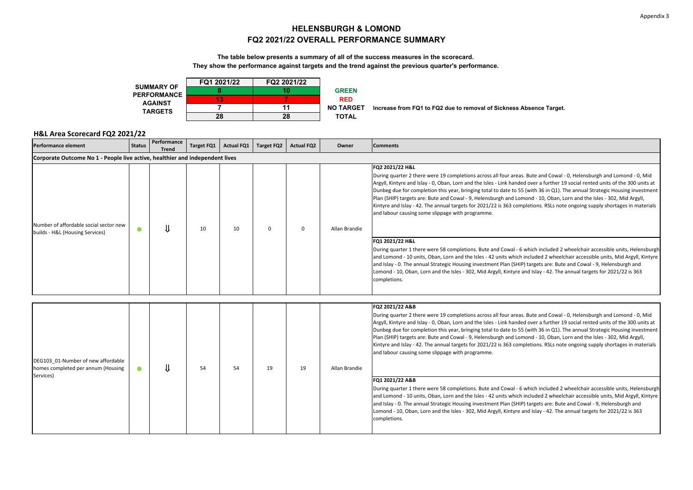#### **HELENSBURGH & LOMONDFQ2 2021/22 OVERALL PERFORMANCE SUMMARY**

#### **The table below presents a summary of all of the success measures in the scorecard.**

**They show the performance against targets and the trend against the previous quarter's performance.**



**NO TARGET Increase from FQ1 to FQ2 due to removal of Sickness Absence Target.**

| <b>Performance element</b>                                                            | <b>Status</b> | Performance<br><b>Trend</b> | <b>Target FQ1</b> | <b>Actual FQ1</b> | Target FQ2 | <b>Actual FQ2</b> | Owner         | <b>Comments</b>                                                                                                                                                                                                                                                                                                                                                                                                                                                                                                                                                                                                                                                                                                      |
|---------------------------------------------------------------------------------------|---------------|-----------------------------|-------------------|-------------------|------------|-------------------|---------------|----------------------------------------------------------------------------------------------------------------------------------------------------------------------------------------------------------------------------------------------------------------------------------------------------------------------------------------------------------------------------------------------------------------------------------------------------------------------------------------------------------------------------------------------------------------------------------------------------------------------------------------------------------------------------------------------------------------------|
| Corporate Outcome No 1 - People live active, healthier and independent lives          |               |                             |                   |                   |            |                   |               |                                                                                                                                                                                                                                                                                                                                                                                                                                                                                                                                                                                                                                                                                                                      |
| Number of affordable social sector new<br>builds - H&L (Housing Services)             | $\bullet$     |                             | 10                | 10                | 0          | $\mathbf 0$       | Allan Brandie | FQ2 2021/22 H&L<br>During quarter 2 there were 19 completions across all four areas. Bute and Cowal - 0, Helensburgh and Lomond - 0, Mid<br>Argyll, Kintyre and Islay - 0, Oban, Lorn and the Isles - Link handed over a further 19 social rented units of the 300 units at<br>Dunbeg due for completion this year, bringing total to date to 55 (with 36 in Q1). The annual Strategic Housing investment<br>Plan (SHIP) targets are: Bute and Cowal - 9, Helensburgh and Lomond - 10, Oban, Lorn and the Isles - 302, Mid Argyll,<br>Kintyre and Islay - 42. The annual targets for 2021/22 is 363 completions. RSLs note ongoing supply shortages in materials<br>and labour causing some slippage with programme. |
|                                                                                       |               |                             |                   |                   |            |                   |               | FQ1 2021/22 H&L<br>During quarter 1 there were 58 completions. Bute and Cowal - 6 which included 2 wheelchair accessible units, Helensburgh<br>and Lomond - 10 units, Oban, Lorn and the Isles - 42 units which included 2 wheelchair accessible units, Mid Argyll, Kintyre<br>and Islay - 0. The annual Strategic Housing investment Plan (SHIP) targets are: Bute and Cowal - 9, Helensburgh and<br>Lomond - 10, Oban, Lorn and the Isles - 302, Mid Argyll, Kintyre and Islay - 42. The annual targets for 2021/22 is 363<br>completions.                                                                                                                                                                         |
|                                                                                       |               |                             |                   |                   |            |                   |               |                                                                                                                                                                                                                                                                                                                                                                                                                                                                                                                                                                                                                                                                                                                      |
| DEG103 01-Number of new affordable<br>homes completed per annum (Housing<br>Services) | $\bullet$     |                             | 54                | 54                | 19         | 19                | Allan Brandie | FQ2 2021/22 A&B<br>During quarter 2 there were 19 completions across all four areas. Bute and Cowal - 0, Helensburgh and Lomond - 0, Mid<br>Argyll, Kintyre and Islay - 0, Oban, Lorn and the Isles - Link handed over a further 19 social rented units of the 300 units at<br>Dunbeg due for completion this year, bringing total to date to 55 (with 36 in Q1). The annual Strategic Housing investment<br>Plan (SHIP) targets are: Bute and Cowal - 9, Helensburgh and Lomond - 10, Oban, Lorn and the Isles - 302, Mid Argyll,<br>Kintyre and Islay - 42. The annual targets for 2021/22 is 363 completions. RSLs note ongoing supply shortages in materials<br>and labour causing some slippage with programme. |
|                                                                                       |               |                             |                   |                   |            |                   |               | FQ1 2021/22 A&B<br>During quarter 1 there were 58 completions. Bute and Cowal - 6 which included 2 wheelchair accessible units, Helensburgh<br>and Lomond - 10 units, Oban, Lorn and the Isles - 42 units which included 2 wheelchair accessible units, Mid Argyll, Kintyre<br>and Islay - 0. The annual Strategic Housing investment Plan (SHIP) targets are: Bute and Cowal - 9, Helensburgh and<br>Lomond - 10, Oban, Lorn and the Isles - 302, Mid Argyll, Kintyre and Islay - 42. The annual targets for 2021/22 is 363<br>completions.                                                                                                                                                                         |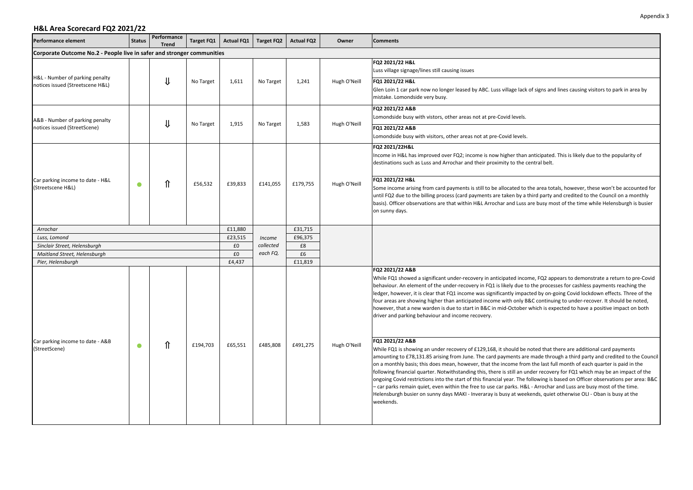| Performance element                                                    | <b>Status</b> | Performance<br><b>Trend</b> | Target FQ1 | <b>Actual FQ1</b> | Target FQ2 | <b>Actual FQ2</b> | Owner        | <b>Comments</b>                                                                                                                                                                                                                                                                                                                                                                                                                                                                                                                                                                                                                                                                                                                                                                                                                                                                                             |
|------------------------------------------------------------------------|---------------|-----------------------------|------------|-------------------|------------|-------------------|--------------|-------------------------------------------------------------------------------------------------------------------------------------------------------------------------------------------------------------------------------------------------------------------------------------------------------------------------------------------------------------------------------------------------------------------------------------------------------------------------------------------------------------------------------------------------------------------------------------------------------------------------------------------------------------------------------------------------------------------------------------------------------------------------------------------------------------------------------------------------------------------------------------------------------------|
| Corporate Outcome No.2 - People live in safer and stronger communities |               |                             |            |                   |            |                   |              |                                                                                                                                                                                                                                                                                                                                                                                                                                                                                                                                                                                                                                                                                                                                                                                                                                                                                                             |
|                                                                        |               |                             |            |                   |            |                   |              | FQ2 2021/22 H&L<br>Luss village signage/lines still causing issues                                                                                                                                                                                                                                                                                                                                                                                                                                                                                                                                                                                                                                                                                                                                                                                                                                          |
| H&L - Number of parking penalty<br>notices issued (Streetscene H&L)    |               | Jl                          | No Target  | 1,611             | No Target  | 1,241             | Hugh O'Neill | FQ1 2021/22 H&L<br>Glen Loin 1 car park now no longer leased by ABC. Luss village lack of signs and lines causing visitors to park in area by<br>mistake. Lomondside very busy.                                                                                                                                                                                                                                                                                                                                                                                                                                                                                                                                                                                                                                                                                                                             |
| A&B - Number of parking penalty                                        |               | ⇓                           |            | 1,915             | No Target  | 1,583             | Hugh O'Neill | FQ2 2021/22 A&B<br>Lomondside busy with vistors, other areas not at pre-Covid levels.                                                                                                                                                                                                                                                                                                                                                                                                                                                                                                                                                                                                                                                                                                                                                                                                                       |
| notices issued (StreetScene)                                           |               |                             | No Target  |                   |            |                   |              | FQ1 2021/22 A&B<br>Lomondside busy with visitors, other areas not at pre-Covid levels.                                                                                                                                                                                                                                                                                                                                                                                                                                                                                                                                                                                                                                                                                                                                                                                                                      |
|                                                                        |               |                             |            |                   |            |                   |              | FQ2 2021/22H&L<br>Income in H&L has improved over FQ2; income is now higher than anticipated. This is likely due to the popularity of<br>destinations such as Luss and Arrochar and their proximity to the central belt.                                                                                                                                                                                                                                                                                                                                                                                                                                                                                                                                                                                                                                                                                    |
| Car parking income to date - H&L<br>(Streetscene H&L)                  | $\bullet$     | ⇑                           | £56,532    | £39,833           | £141,055   | £179,755          | Hugh O'Neill | FQ1 2021/22 H&L<br>Some income arising from card payments is still to be allocated to the area totals, however, these won't be accounted for<br>until FQ2 due to the billing process (card payments are taken by a third party and credited to the Council on a monthly<br>basis). Officer observations are that within H&L Arrochar and Luss are busy most of the time while Helensburgh is busier<br>on sunny days.                                                                                                                                                                                                                                                                                                                                                                                                                                                                                       |
| Arrochar                                                               |               |                             |            | £11,880           |            | £31,715           |              |                                                                                                                                                                                                                                                                                                                                                                                                                                                                                                                                                                                                                                                                                                                                                                                                                                                                                                             |
| Luss, Lomond                                                           |               |                             |            | £23,515           | Income     | £96,375           |              |                                                                                                                                                                                                                                                                                                                                                                                                                                                                                                                                                                                                                                                                                                                                                                                                                                                                                                             |
| Sinclair Street, Helensburgh                                           |               |                             |            | £0                | collected  | £8                |              |                                                                                                                                                                                                                                                                                                                                                                                                                                                                                                                                                                                                                                                                                                                                                                                                                                                                                                             |
| Maitland Street, Helensburgh                                           |               |                             |            | £0                | each FQ.   | £6                |              |                                                                                                                                                                                                                                                                                                                                                                                                                                                                                                                                                                                                                                                                                                                                                                                                                                                                                                             |
| Pier, Helensburgh                                                      |               |                             |            | £4,437            |            | £11,819           |              | FQ2 2021/22 A&B                                                                                                                                                                                                                                                                                                                                                                                                                                                                                                                                                                                                                                                                                                                                                                                                                                                                                             |
|                                                                        |               |                             |            |                   |            |                   |              | While FQ1 showed a significant under-recovery in anticipated income, FQ2 appears to demonstrate a return to pre-Covid<br>behaviour. An element of the under-recovery in FQ1 is likely due to the processes for cashless payments reaching the<br>ledger, however, it is clear that FQ1 income was significantly impacted by on-going Covid lockdown effects. Three of the<br>four areas are showing higher than anticipated income with only B&C continuing to under-recover. It should be noted,<br>however, that a new warden is due to start in B&C in mid-October which is expected to have a positive impact on both<br>driver and parking behaviour and income recovery.                                                                                                                                                                                                                              |
| Car parking income to date - A&B<br>(StreetScene)                      | $\bullet$     | ⇑                           | £194,703   | £65,551           | £485,808   | £491,275          | Hugh O'Neill | FQ1 2021/22 A&B<br>While FQ1 is showing an under recovery of £129,168, it should be noted that there are additional card payments<br>amounting to £78,131.85 arising from June. The card payments are made through a third party and credited to the Council<br>on a monthly basis; this does mean, however, that the income from the last full month of each quarter is paid in the<br>following financial quarter. Notwithstanding this, there is still an under recovery for FQ1 which may be an impact of the<br>ongoing Covid restrictions into the start of this financial year. The following is based on Officer observations per area: B&C<br>- car parks remain quiet, even within the free to use car parks. H&L - Arrochar and Luss are busy most of the time.<br>Helensburgh busier on sunny days MAKI - Inveraray is busy at weekends, quiet otherwise OLI - Oban is busy at the<br>weekends. |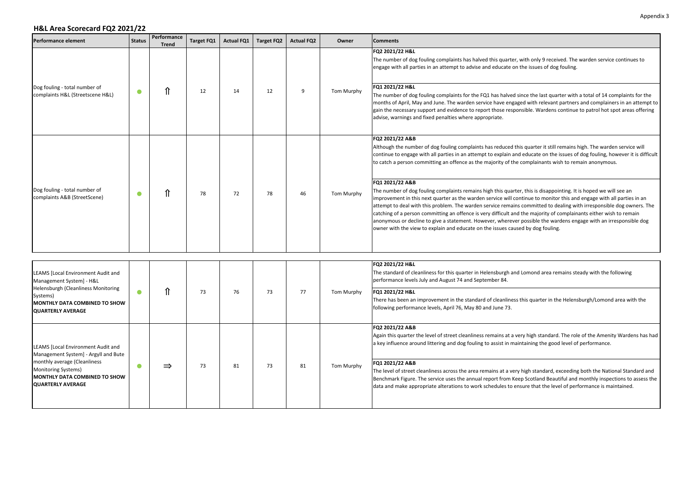| Performance element                                                                                                                                                                            | <b>Status</b> | Performance<br><b>Trend</b> | <b>Target FQ1</b> | <b>Actual FQ1</b> | <b>Target FQ2</b> | <b>Actual FQ2</b> | Owner      | <b>Comments</b>                                                                                                                                                                                                                                                                                                                                                                                                                                                                                                                                                                                                                                                                                                                                                                                                                                                                                                                                                                                                                                                                                               |
|------------------------------------------------------------------------------------------------------------------------------------------------------------------------------------------------|---------------|-----------------------------|-------------------|-------------------|-------------------|-------------------|------------|---------------------------------------------------------------------------------------------------------------------------------------------------------------------------------------------------------------------------------------------------------------------------------------------------------------------------------------------------------------------------------------------------------------------------------------------------------------------------------------------------------------------------------------------------------------------------------------------------------------------------------------------------------------------------------------------------------------------------------------------------------------------------------------------------------------------------------------------------------------------------------------------------------------------------------------------------------------------------------------------------------------------------------------------------------------------------------------------------------------|
| Dog fouling - total number of<br>complaints H&L (Streetscene H&L)                                                                                                                              | $\bullet$     | ⇑                           | 12                | 14                | 12                | 9                 | Tom Murphy | FO2 2021/22 H&L<br>The number of dog fouling complaints has halved this quarter, with only 9 received. The warden service continues to<br>engage with all parties in an attempt to advise and educate on the issues of dog fouling.<br>FQ1 2021/22 H&L<br>The number of dog fouling complaints for the FQ1 has halved since the last quarter with a total of 14 complaints for the<br>months of April, May and June. The warden service have engaged with relevant partners and complainers in an attempt to<br>gain the necessary support and evidence to report those responsible. Wardens continue to patrol hot spot areas offering<br>advise, warnings and fixed penalties where appropriate.                                                                                                                                                                                                                                                                                                                                                                                                            |
| Dog fouling - total number of<br>complaints A&B (StreetScene)                                                                                                                                  | $\bullet$     | ⇑                           | 78                | 72                | 78                | 46                | Tom Murphy | FQ2 2021/22 A&B<br>Although the number of dog fouling complaints has reduced this quarter it still remains high. The warden service will<br>continue to engage with all parties in an attempt to explain and educate on the issues of dog fouling, however it is difficult<br>to catch a person committing an offence as the majority of the complainants wish to remain anonymous.<br>FQ1 2021/22 A&B<br>The number of dog fouling complaints remains high this quarter, this is disappointing. It is hoped we will see an<br>improvement in this next quarter as the warden service will continue to monitor this and engage with all parties in an<br>attempt to deal with this problem. The warden service remains committed to dealing with irresponsible dog owners. The<br>catching of a person committing an offence is very difficult and the majority of complainants either wish to remain<br>anonymous or decline to give a statement. However, wherever possible the wardens engage with an irresponsible dog<br>owner with the view to explain and educate on the issues caused by dog fouling. |
| <b>LEAMS [Local Environment Audit and</b><br>Management System] - H&L<br>Helensburgh (Cleanliness Monitoring<br>Systems)<br>MONTHLY DATA COMBINED TO SHOW<br><b>QUARTERLY AVERAGE</b>          | $\bullet$     | ⇑                           | 73                | 76                | 73                | 77                | Tom Murphy | FQ2 2021/22 H&L<br>The standard of cleanliness for this quarter in Helensburgh and Lomond area remains steady with the following<br>performance levels July and August 74 and September 84.<br>FQ1 2021/22 H&L<br>There has been an improvement in the standard of cleanliness this quarter in the Helensburgh/Lomond area with the<br>following performance levels, April 76, May 80 and June 73.                                                                                                                                                                                                                                                                                                                                                                                                                                                                                                                                                                                                                                                                                                            |
| LEAMS [Local Environment Audit and<br>Management System] - Argyll and Bute<br>monthly average (Cleanliness<br>Monitoring Systems)<br>MONTHLY DATA COMBINED TO SHOW<br><b>QUARTERLY AVERAGE</b> | $\bullet$     | $\Rightarrow$               | 73                | 81                | 73                | 81                | Tom Murphy | FO2 2021/22 A&B<br>Again this quarter the level of street cleanliness remains at a very high standard. The role of the Amenity Wardens has had<br>a key influence around littering and dog fouling to assist in maintaining the good level of performance.<br>FQ1 2021/22 A&B<br>The level of street cleanliness across the area remains at a very high standard, exceeding both the National Standard and<br>Benchmark Figure. The service uses the annual report from Keep Scotland Beautiful and monthly inspections to assess the<br>data and make appropriate alterations to work schedules to ensure that the level of performance is maintained.                                                                                                                                                                                                                                                                                                                                                                                                                                                       |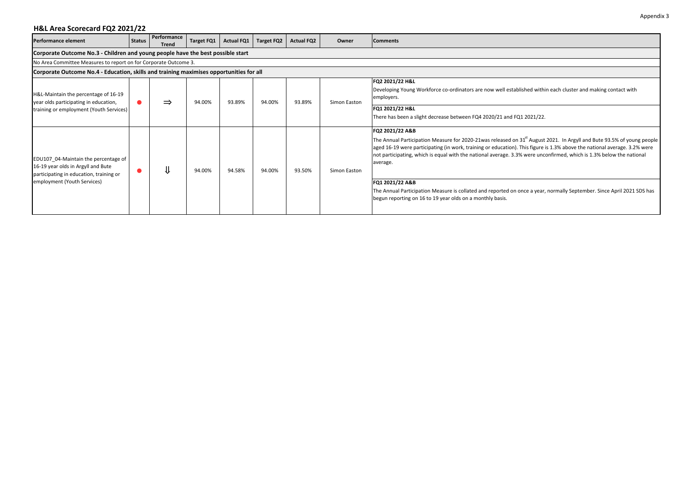| <b>Performance element</b>                                                                                                                           | <b>Status</b> | Performance<br><b>Trend</b> | <b>Target FQ1</b> | <b>Actual FQ1</b> | <b>Target FQ2</b> | <b>Actual FQ2</b> | Owner        | <b>Comments</b>                                                                                                                                                                                                                                                                                                                                                                                                                                                                                                                                                                                                                  |  |  |  |  |  |
|------------------------------------------------------------------------------------------------------------------------------------------------------|---------------|-----------------------------|-------------------|-------------------|-------------------|-------------------|--------------|----------------------------------------------------------------------------------------------------------------------------------------------------------------------------------------------------------------------------------------------------------------------------------------------------------------------------------------------------------------------------------------------------------------------------------------------------------------------------------------------------------------------------------------------------------------------------------------------------------------------------------|--|--|--|--|--|
| Corporate Outcome No.3 - Children and young people have the best possible start                                                                      |               |                             |                   |                   |                   |                   |              |                                                                                                                                                                                                                                                                                                                                                                                                                                                                                                                                                                                                                                  |  |  |  |  |  |
| No Area Committee Measures to report on for Corporate Outcome 3.                                                                                     |               |                             |                   |                   |                   |                   |              |                                                                                                                                                                                                                                                                                                                                                                                                                                                                                                                                                                                                                                  |  |  |  |  |  |
| Corporate Outcome No.4 - Education, skills and training maximises opportunities for all                                                              |               |                             |                   |                   |                   |                   |              |                                                                                                                                                                                                                                                                                                                                                                                                                                                                                                                                                                                                                                  |  |  |  |  |  |
| H&L-Maintain the percentage of 16-19<br>year olds participating in education,<br>training or employment (Youth Services)                             |               | $\Rightarrow$               | 94.00%            | 93.89%            | 94.00%            | 93.89%            | Simon Easton | FQ2 2021/22 H&L<br>Developing Young Workforce co-ordinators are now well established within each cluster and making contact with<br>employers.<br>FQ1 2021/22 H&L<br>There has been a slight decrease between FQ4 2020/21 and FQ1 2021/22.                                                                                                                                                                                                                                                                                                                                                                                       |  |  |  |  |  |
| EDU107 04-Maintain the percentage of<br>16-19 year olds in Argyll and Bute<br>participating in education, training or<br>employment (Youth Services) |               |                             | 94.00%            | 94.58%            | 94.00%            | 93.50%            | Simon Easton | FQ2 2021/22 A&B<br>The Annual Participation Measure for 2020-21was released on 31 <sup>st</sup> August 2021. In Argyll and Bute 93.5% of young people<br>aged 16-19 were participating (in work, training or education). This figure is 1.3% above the national average. 3.2% were<br>not participating, which is equal with the national average. 3.3% were unconfirmed, which is 1.3% below the national<br>average.<br>FQ1 2021/22 A&B<br>The Annual Participation Measure is collated and reported on once a year, normally September. Since April 2021 SDS has<br>begun reporting on 16 to 19 year olds on a monthly basis. |  |  |  |  |  |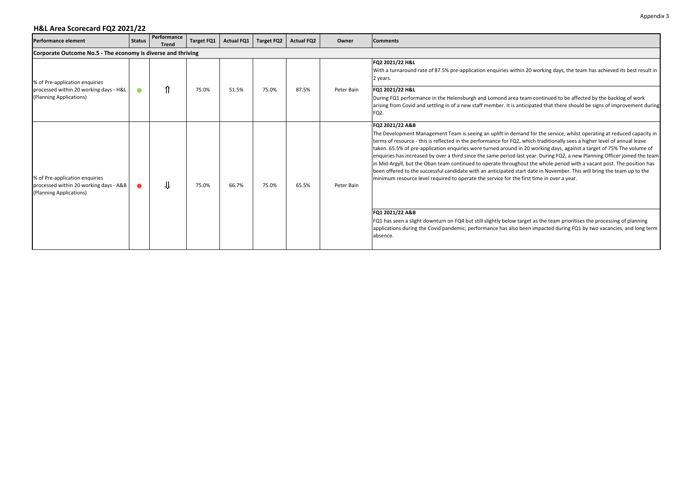| <b>Performance element</b>                                                                          | <b>Status</b>                                                | Performance<br><b>Trend</b> | Target FQ1 | <b>Actual FQ1</b> | <b>Target FQ2</b> | <b>Actual FQ2</b> | Owner      | <b>Comments</b>                                                                                                                                                                                                                                                                                                                                                                                                                                                                                                                                                                                                                                                                                                                                                                                                                                                                                                                                                                                                                                                                                                                                           |  |  |  |  |  |  |
|-----------------------------------------------------------------------------------------------------|--------------------------------------------------------------|-----------------------------|------------|-------------------|-------------------|-------------------|------------|-----------------------------------------------------------------------------------------------------------------------------------------------------------------------------------------------------------------------------------------------------------------------------------------------------------------------------------------------------------------------------------------------------------------------------------------------------------------------------------------------------------------------------------------------------------------------------------------------------------------------------------------------------------------------------------------------------------------------------------------------------------------------------------------------------------------------------------------------------------------------------------------------------------------------------------------------------------------------------------------------------------------------------------------------------------------------------------------------------------------------------------------------------------|--|--|--|--|--|--|
|                                                                                                     | Corporate Outcome No.5 - The economy is diverse and thriving |                             |            |                   |                   |                   |            |                                                                                                                                                                                                                                                                                                                                                                                                                                                                                                                                                                                                                                                                                                                                                                                                                                                                                                                                                                                                                                                                                                                                                           |  |  |  |  |  |  |
| % of Pre-application enquiries<br>processed within 20 working days - H&L<br>(Planning Applications) | $\bullet$                                                    | ⇑                           | 75.0%      | 51.5%             | 75.0%             | 87.5%             | Peter Bain | FQ2 2021/22 H&L<br>With a turnaround rate of 87.5% pre-application enquiries within 20 working days, the team has achieved its best result in<br>2 years.<br>FQ1 2021/22 H&L<br>During FQ1 performance in the Helensburgh and Lomond area team continued to be affected by the backlog of work<br>arising from Covid and settling in of a new staff member. It is anticipated that there should be signs of improvement during<br>FQ2.                                                                                                                                                                                                                                                                                                                                                                                                                                                                                                                                                                                                                                                                                                                    |  |  |  |  |  |  |
| % of Pre-application enquiries<br>processed within 20 working days - A&B<br>(Planning Applications) | $\bullet$                                                    | ⇓                           | 75.0%      | 66.7%             | 75.0%             | 65.5%             | Peter Bain | FQ2 2021/22 A&B<br>The Development Management Team is seeing an uplift in demand for the service, whilst operating at reduced capacity in<br>terms of resource - this is reflected in the performance for FQ2, which traditionally sees a higher level of annual leave<br>taken. 65.5% of pre-application enquiries were turned around in 20 working days, against a target of 75% The volume of<br>enquiries has increased by over a third since the same period last year. During FQ2, a new Planning Officer joined the team<br>in Mid-Argyll, but the Oban team continued to operate throughout the whole period with a vacant post. The position has<br>been offered to the successful candidate with an anticipated start date in November. This will bring the team up to the<br>minimum resource level required to operate the service for the first time in over a year.<br>FQ1 2021/22 A&B<br>FQ1 has seen a slight downturn on FQ4 but still slightly below target as the team prioritises the processing of planning<br>applications during the Covid pandemic; performance has also been impacted during FQ1 by two vacancies, and long term |  |  |  |  |  |  |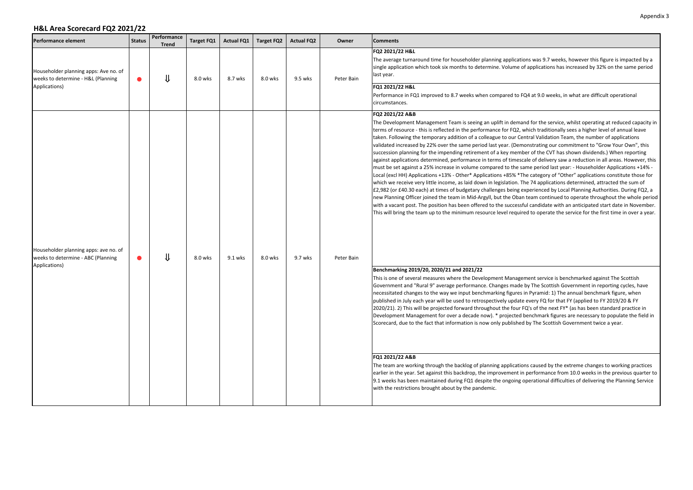| <b>Performance element</b>                                                                   | <b>Status</b> | Performance<br><b>Trend</b> | <b>Target FQ1</b> | <b>Actual FQ1</b> | <b>Target FQ2</b> | <b>Actual FQ2</b> | Owner      | <b>Comments</b>                                                                                                                                                                                                                                                                                                                                                                                                                                                                                                                                                                                                                                                                                                                                                                                                                                                                                                                                                                                                                                                                                                                                                                                                                                                                                                                                                                                                                                                                                                                                                                                                                                                                                                                                                                                                                                                                                                                                                                                                                                                                                                                                                                                                                                                                                                                                                                                                                                                                                                                                                                                                                                                                                                                                                                                                                                                                                                                                                                                                                          |
|----------------------------------------------------------------------------------------------|---------------|-----------------------------|-------------------|-------------------|-------------------|-------------------|------------|------------------------------------------------------------------------------------------------------------------------------------------------------------------------------------------------------------------------------------------------------------------------------------------------------------------------------------------------------------------------------------------------------------------------------------------------------------------------------------------------------------------------------------------------------------------------------------------------------------------------------------------------------------------------------------------------------------------------------------------------------------------------------------------------------------------------------------------------------------------------------------------------------------------------------------------------------------------------------------------------------------------------------------------------------------------------------------------------------------------------------------------------------------------------------------------------------------------------------------------------------------------------------------------------------------------------------------------------------------------------------------------------------------------------------------------------------------------------------------------------------------------------------------------------------------------------------------------------------------------------------------------------------------------------------------------------------------------------------------------------------------------------------------------------------------------------------------------------------------------------------------------------------------------------------------------------------------------------------------------------------------------------------------------------------------------------------------------------------------------------------------------------------------------------------------------------------------------------------------------------------------------------------------------------------------------------------------------------------------------------------------------------------------------------------------------------------------------------------------------------------------------------------------------------------------------------------------------------------------------------------------------------------------------------------------------------------------------------------------------------------------------------------------------------------------------------------------------------------------------------------------------------------------------------------------------------------------------------------------------------------------------------------------------|
| Householder planning apps: Ave no. of<br>weeks to determine - H&L (Planning<br>Applications) |               | ⇓                           | 8.0 wks           | 8.7 wks           | 8.0 wks           | 9.5 wks           | Peter Bain | FQ2 2021/22 H&L<br>The average turnaround time for householder planning applications was 9.7 weeks, however this figure is impacted by a<br>single application which took six months to determine. Volume of applications has increased by 32% on the same period<br>last year.<br>FQ1 2021/22 H&L<br>Performance in FQ1 improved to 8.7 weeks when compared to FQ4 at 9.0 weeks, in what are difficult operational                                                                                                                                                                                                                                                                                                                                                                                                                                                                                                                                                                                                                                                                                                                                                                                                                                                                                                                                                                                                                                                                                                                                                                                                                                                                                                                                                                                                                                                                                                                                                                                                                                                                                                                                                                                                                                                                                                                                                                                                                                                                                                                                                                                                                                                                                                                                                                                                                                                                                                                                                                                                                      |
| Householder planning apps: ave no. of<br>weeks to determine - ABC (Planning<br>Applications) |               | IJ                          | 8.0 wks           | 9.1 wks           | 8.0 wks           | 9.7 wks           | Peter Bain | circumstances.<br>FQ2 2021/22 A&B<br>The Development Management Team is seeing an uplift in demand for the service, whilst operating at reduced capacity in<br>terms of resource - this is reflected in the performance for FQ2, which traditionally sees a higher level of annual leave<br>taken. Following the temporary addition of a colleague to our Central Validation Team, the number of applications<br>validated increased by 22% over the same period last year. (Demonstrating our commitment to "Grow Your Own", this<br>succession planning for the impending retirement of a key member of the CVT has shown dividends.) When reporting<br>against applications determined, performance in terms of timescale of delivery saw a reduction in all areas. However, this<br>must be set against a 25% increase in volume compared to the same period last year: - Householder Applications +14% -<br>Local (excl HH) Applications +13% - Other* Applications +85% *The category of "Other" applications constitute those for<br>which we receive very little income, as laid down in legislation. The 74 applications determined, attracted the sum of<br>£2,982 (or £40.30 each) at times of budgetary challenges being experienced by Local Planning Authorities. During FQ2, a<br>new Planning Officer joined the team in Mid-Argyll, but the Oban team continued to operate throughout the whole period<br>with a vacant post. The position has been offered to the successful candidate with an anticipated start date in November.<br>This will bring the team up to the minimum resource level required to operate the service for the first time in over a year.<br>Benchmarking 2019/20, 2020/21 and 2021/22<br>This is one of several measures where the Development Management service is benchmarked against The Scottish<br>Government and "Rural 9" average performance. Changes made by The Scottish Government in reporting cycles, have<br>necessitated changes to the way we input benchmarking figures in Pyramid: 1) The annual benchmark figure, when<br>published in July each year will be used to retrospectively update every FQ for that FY (applied to FY 2019/20 & FY<br>2020/21). 2) This will be projected forward throughout the four FQ's of the next FY* (as has been standard practice in<br>Development Management for over a decade now). * projected benchmark figures are necessary to populate the field in<br>Scorecard, due to the fact that information is now only published by The Scottish Government twice a year.<br>FQ1 2021/22 A&B<br>The team are working through the backlog of planning applications caused by the extreme changes to working practices<br>earlier in the year. Set against this backdrop, the improvement in performance from 10.0 weeks in the previous quarter to<br>9.1 weeks has been maintained during FQ1 despite the ongoing operational difficulties of delivering the Planning Service<br>with the restrictions brought about by the pandemic. |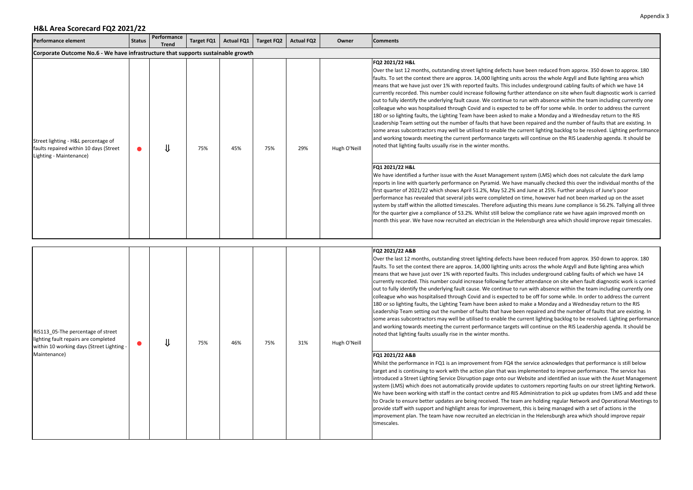| <b>Performance element</b>                                                                                                              | <b>Status</b> | Performance<br><b>Trend</b> | <b>Target FQ1</b> | <b>Actual FQ1</b> | <b>Target FQ2</b> | <b>Actual FQ2</b> | Owner        | <b>Comments</b>                                                                                                                                                                                                                                                                                                                                                                                                                                                                                                                                                                                                                                                                                                                                                                                                                                                                                                                                                                                                                                                                                                                                                                                                                                                                                                                                  |
|-----------------------------------------------------------------------------------------------------------------------------------------|---------------|-----------------------------|-------------------|-------------------|-------------------|-------------------|--------------|--------------------------------------------------------------------------------------------------------------------------------------------------------------------------------------------------------------------------------------------------------------------------------------------------------------------------------------------------------------------------------------------------------------------------------------------------------------------------------------------------------------------------------------------------------------------------------------------------------------------------------------------------------------------------------------------------------------------------------------------------------------------------------------------------------------------------------------------------------------------------------------------------------------------------------------------------------------------------------------------------------------------------------------------------------------------------------------------------------------------------------------------------------------------------------------------------------------------------------------------------------------------------------------------------------------------------------------------------|
| Corporate Outcome No.6 - We have infrastructure that supports sustainable growth                                                        |               |                             |                   |                   |                   |                   |              |                                                                                                                                                                                                                                                                                                                                                                                                                                                                                                                                                                                                                                                                                                                                                                                                                                                                                                                                                                                                                                                                                                                                                                                                                                                                                                                                                  |
| Street lighting - H&L percentage of<br>faults repaired within 10 days (Street<br>Lighting - Maintenance)                                | $\bullet$     | ⇓                           | 75%               | 45%               | 75%               | 29%               | Hugh O'Neill | FQ2 2021/22 H&L<br>Over the last 12 months, outstanding street lighting defects have been reduced from approx. 350 down to approx. 180<br>faults. To set the context there are approx. 14,000 lighting units across the whole Argyll and Bute lighting area which<br>means that we have just over 1% with reported faults. This includes underground cabling faults of which we have 14<br>currently recorded. This number could increase following further attendance on site when fault diagnostic work is carried<br>out to fully identify the underlying fault cause. We continue to run with absence within the team including currently one<br>colleague who was hospitalised through Covid and is expected to be off for some while. In order to address the current<br>180 or so lighting faults, the Lighting Team have been asked to make a Monday and a Wednesday return to the RIS<br>Leadership Team setting out the number of faults that have been repaired and the number of faults that are existing. In<br>some areas subcontractors may well be utilised to enable the current lighting backlog to be resolved. Lighting performance<br>and working towards meeting the current performance targets will continue on the RIS Leadership agenda. It should be<br>noted that lighting faults usually rise in the winter months. |
|                                                                                                                                         |               |                             |                   |                   |                   |                   |              | FQ1 2021/22 H&L<br>We have identified a further issue with the Asset Management system (LMS) which does not calculate the dark lamp<br>reports in line with quarterly performance on Pyramid. We have manually checked this over the individual months of the<br>first quarter of 2021/22 which shows April 51.2%, May 52.2% and June at 25%. Further analysis of June's poor<br>performance has revealed that several jobs were completed on time, however had not been marked up on the asset<br>system by staff within the allotted timescales. Therefore adjusting this means June compliance is 56.2%. Tallying all three<br>for the quarter give a compliance of 53.2%. Whilst still below the compliance rate we have again improved month on<br>month this year. We have now recruited an electrician in the Helensburgh area which should improve repair timescales.                                                                                                                                                                                                                                                                                                                                                                                                                                                                    |
|                                                                                                                                         |               |                             |                   |                   |                   |                   |              |                                                                                                                                                                                                                                                                                                                                                                                                                                                                                                                                                                                                                                                                                                                                                                                                                                                                                                                                                                                                                                                                                                                                                                                                                                                                                                                                                  |
| RIS113 05-The percentage of street<br>lighting fault repairs are completed<br>within 10 working days (Street Lighting -<br>Maintenance) |               | ⇓                           | 75%               | 46%               | 75%               | 31%               | Hugh O'Neill | FQ2 2021/22 A&B<br>Over the last 12 months, outstanding street lighting defects have been reduced from approx. 350 down to approx. 180<br>faults. To set the context there are approx. 14,000 lighting units across the whole Argyll and Bute lighting area which<br>means that we have just over 1% with reported faults. This includes underground cabling faults of which we have 14<br>currently recorded. This number could increase following further attendance on site when fault diagnostic work is carried<br>out to fully identify the underlying fault cause. We continue to run with absence within the team including currently one<br>colleague who was hospitalised through Covid and is expected to be off for some while. In order to address the current<br>180 or so lighting faults, the Lighting Team have been asked to make a Monday and a Wednesday return to the RIS<br>Leadership Team setting out the number of faults that have been repaired and the number of faults that are existing. In<br>some areas subcontractors may well be utilised to enable the current lighting backlog to be resolved. Lighting performance<br>and working towards meeting the current performance targets will continue on the RIS Leadership agenda. It should be<br>noted that lighting faults usually rise in the winter months. |
|                                                                                                                                         |               |                             |                   |                   |                   |                   |              | FQ1 2021/22 A&B<br>Whilst the performance in FQ1 is an improvement from FQ4 the service acknowledges that performance is still below<br>target and is continuing to work with the action plan that was implemented to improve performance. The service has<br>introduced a Street Lighting Service Disruption page onto our Website and identified an issue with the Asset Management<br>system (LMS) which does not automatically provide updates to customers reporting faults on our street lighting Network.<br>We have been working with staff in the contact centre and RIS Administration to pick up updates from LMS and add these<br>to Oracle to ensure better updates are being received. The team are holding regular Network and Operational Meetings to<br>provide staff with support and highlight areas for improvement, this is being managed with a set of actions in the<br>improvement plan. The team have now recruited an electrician in the Helensburgh area which should improve repair<br>timescales.                                                                                                                                                                                                                                                                                                                   |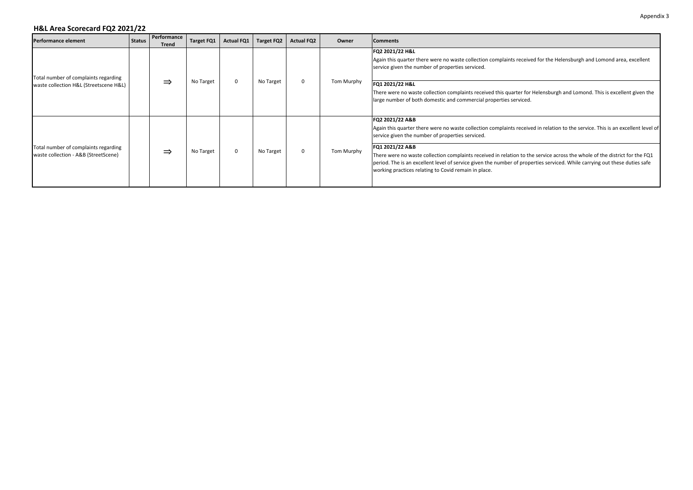| <b>Performance element</b>                                                     | <b>Status</b> | Performance<br>Trend | Target FQ1 | Actual FQ1   Target FQ2 |           | <b>Actual FQ2</b> | Owner      | <b>Comments</b>                                                                                                                                                                                                                                                                                                                                                                                                                                                                                                                               |
|--------------------------------------------------------------------------------|---------------|----------------------|------------|-------------------------|-----------|-------------------|------------|-----------------------------------------------------------------------------------------------------------------------------------------------------------------------------------------------------------------------------------------------------------------------------------------------------------------------------------------------------------------------------------------------------------------------------------------------------------------------------------------------------------------------------------------------|
| Total number of complaints regarding<br>waste collection H&L (Streetscene H&L) |               | ⇒                    | No Target  | $\mathbf{0}$            | No Target | $\mathbf 0$       | Tom Murphy | FQ2 2021/22 H&L<br>Again this quarter there were no waste collection complaints received for the Helensburgh and Lomond area, excellent<br>service given the number of properties serviced.<br>FQ1 2021/22 H&L<br>There were no waste collection complaints received this quarter for Helensburgh and Lomond. This is excellent given the<br>large number of both domestic and commercial properties serviced.                                                                                                                                |
| Total number of complaints regarding<br>waste collection - A&B (StreetScene)   |               | ⇒                    | No Target  | $\mathbf{0}$            | No Target | $\mathbf 0$       | Tom Murphy | FQ2 2021/22 A&B<br>Again this quarter there were no waste collection complaints received in relation to the service. This is an excellent level of<br>service given the number of properties serviced.<br>FQ1 2021/22 A&B<br>There were no waste collection complaints received in relation to the service across the whole of the district for the FQ1<br>period. The is an excellent level of service given the number of properties serviced. While carrying out these duties safe<br>working practices relating to Covid remain in place. |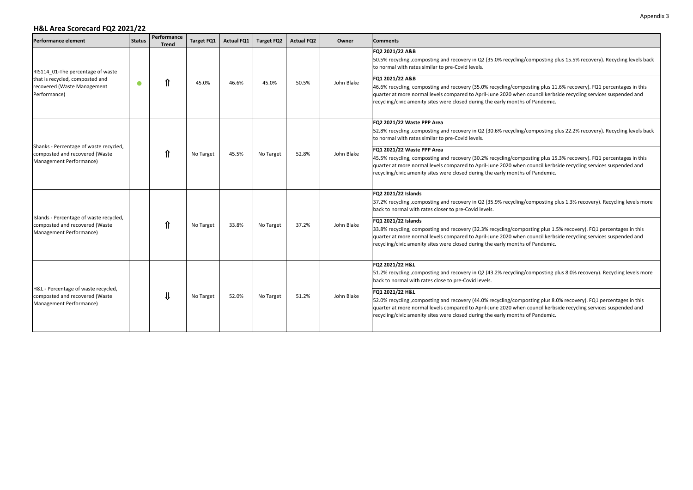| <b>Performance element</b>                                                                           | <b>Status</b> | Performance<br><b>Trend</b> | Target FQ1 | <b>Actual FQ1</b> | Target FQ2 | <b>Actual FQ2</b> | Owner      | <b>Comments</b>                                                                                                                                                                                                                                                                                                                                        |
|------------------------------------------------------------------------------------------------------|---------------|-----------------------------|------------|-------------------|------------|-------------------|------------|--------------------------------------------------------------------------------------------------------------------------------------------------------------------------------------------------------------------------------------------------------------------------------------------------------------------------------------------------------|
| RIS114 01-The percentage of waste                                                                    |               |                             |            |                   |            |                   |            | FQ2 2021/22 A&B<br>50.5% recycling , composting and recovery in Q2 (35.0% recycling/composting plus 15.5% recovery). Recycling levels back<br>to normal with rates similar to pre-Covid levels.                                                                                                                                                        |
| that is recycled, composted and<br>recovered (Waste Management<br>Performance)                       | $\bullet$     | ⇑                           | 45.0%      | 46.6%             | 45.0%      | 50.5%             | John Blake | FQ1 2021/22 A&B<br>46.6% recycling, composting and recovery (35.0% recycling/composting plus 11.6% recovery). FQ1 percentages in this<br>quarter at more normal levels compared to April-June 2020 when council kerbside recycling services suspended and<br>recycling/civic amenity sites were closed during the early months of Pandemic.            |
|                                                                                                      |               |                             |            |                   |            |                   |            | FQ2 2021/22 Waste PPP Area<br>52.8% recycling , composting and recovery in Q2 (30.6% recycling/composting plus 22.2% recovery). Recycling levels back<br>to normal with rates similar to pre-Covid levels.                                                                                                                                             |
| Shanks - Percentage of waste recycled,<br>composted and recovered (Waste<br>Management Performance)  |               | ⇑                           | No Target  | 45.5%             | No Target  | 52.8%             | John Blake | FQ1 2021/22 Waste PPP Area<br>45.5% recycling, composting and recovery (30.2% recycling/composting plus 15.3% recovery). FQ1 percentages in this<br>quarter at more normal levels compared to April-June 2020 when council kerbside recycling services suspended and<br>recycling/civic amenity sites were closed during the early months of Pandemic. |
|                                                                                                      |               |                             |            |                   |            |                   |            | FQ2 2021/22 Islands<br>37.2% recycling ,composting and recovery in Q2 (35.9% recycling/composting plus 1.3% recovery). Recycling levels more<br>back to normal with rates closer to pre-Covid levels.                                                                                                                                                  |
| Islands - Percentage of waste recycled,<br>composted and recovered (Waste<br>Management Performance) |               | ⇑                           | No Target  | 33.8%             | No Target  | 37.2%             | John Blake | FQ1 2021/22 Islands<br>33.8% recycling, composting and recovery (32.3% recycling/composting plus 1.5% recovery). FQ1 percentages in this<br>quarter at more normal levels compared to April-June 2020 when council kerbside recycling services suspended and<br>recycling/civic amenity sites were closed during the early months of Pandemic.         |
|                                                                                                      |               |                             |            |                   |            |                   |            | FQ2 2021/22 H&L<br>51.2% recycling ,composting and recovery in Q2 (43.2% recycling/composting plus 8.0% recovery). Recycling levels more<br>back to normal with rates close to pre-Covid levels.                                                                                                                                                       |
| H&L - Percentage of waste recycled,<br>composted and recovered (Waste<br>Management Performance)     |               | ⇓                           | No Target  | 52.0%             | No Target  | 51.2%             | John Blake | FQ1 2021/22 H&L<br>52.0% recycling , composting and recovery (44.0% recycling/composting plus 8.0% recovery). FQ1 percentages in this<br>quarter at more normal levels compared to April-June 2020 when council kerbside recycling services suspended and<br>recycling/civic amenity sites were closed during the early months of Pandemic.            |